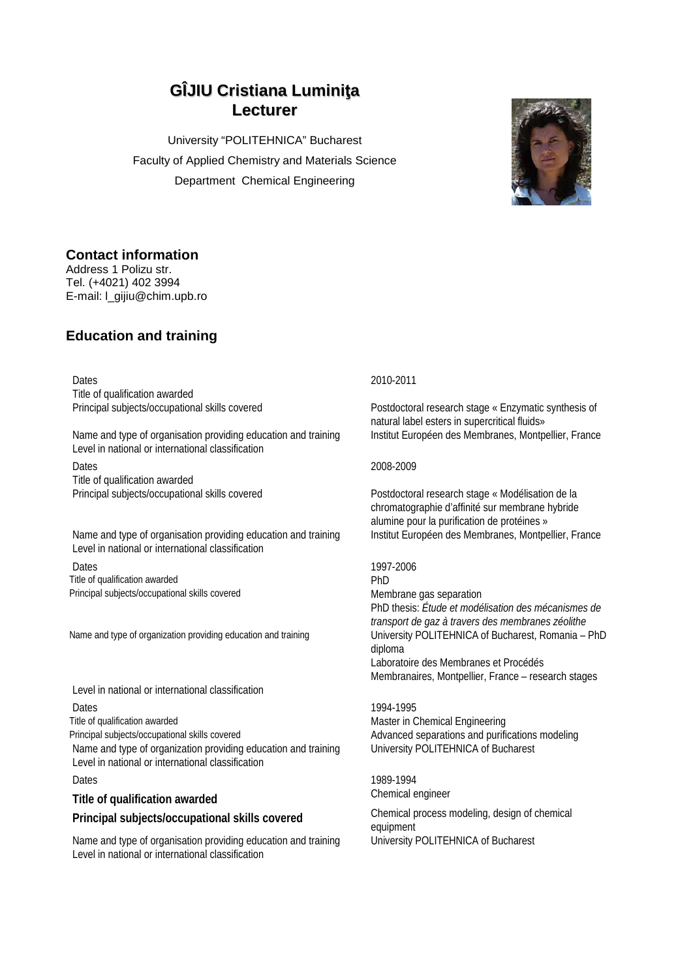# **GÎJIU Cristiana Luminiţa Lecturer**

University "POLITEHNICA" Bucharest Faculty of Applied Chemistry and Materials Science Department Chemical Engineering



### **Contact information**

Address 1 Polizu str. Tel. (+4021) 402 3994 E-mail: l\_gijiu@chim.upb.ro

## **Education and training**

Dates 2010-2011 Title of qualification awarded

Name and type of organisation providing education and training Institut Européen des Membranes, Montpellier, France Level in national or international classification

Dates 2008-2009 Title of qualification awarded

Name and type of organisation providing education and training Institut Européen des Membranes, Montpellier, France Level in national or international classification

Dates 1997-2006 Title of qualification awarded PhD Principal subjects/occupational skills covered Membrane gas separation

Name and type of organization providing education and training University POLITEHNICA of Bucharest, Romania – PhD

Level in national or international classification

Dates 1994-1995<br>Title of qualification awarded the control of the control of the Master in C

Name and type of organization providing education and training University POLITEHNICA of Bucharest Level in national or international classification

## **Title of qualification awarded** Chemical engineer

Name and type of organisation providing education and training University POLITEHNICA of Bucharest Level in national or international classification

Principal subjects/occupational skills covered Postdoctoral research stage « Enzymatic synthesis of natural label esters in supercritical fluids»

Principal subjects/occupational skills covered Postdoctoral research stage « Modélisation de la chromatographie d'affinité sur membrane hybride alumine pour la purification de protéines »

PhD thesis: *Étude et modélisation des mécanismes de transport de gaz à travers des membranes zéolithe* diploma Laboratoire des Membranes et Procédés Membranaires, Montpellier, France – research stages

Master in Chemical Engineering Principal subjects/occupational skills covered Advanced Separations and purifications modeling

Dates 1989-1994

**Principal subjects/occupational skills covered** Chemical process modeling, design of chemical equipment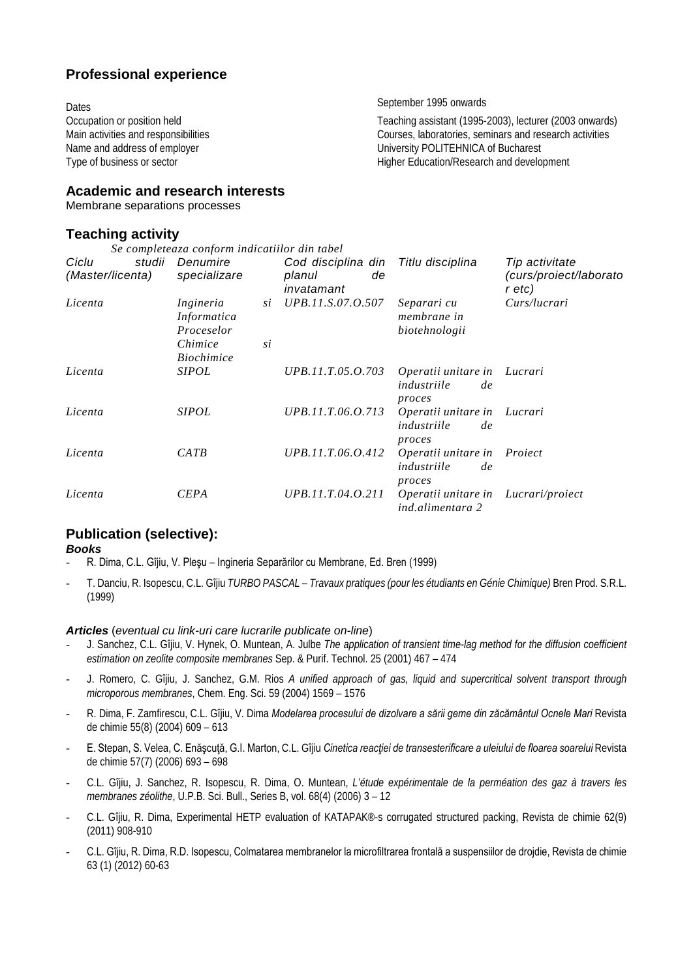### **Professional experience**

Dates **September 1995** onwards

Occupation or position held<br>Main activities and responsibilities<br>Main activities and responsibilities<br>Courses, laboratories, seminars and research activities Main activities and responsibilities and responsibilities courses, laboratories, seminars and research activities<br>
Name and address of employer<br>
Courses, laboratories, seminars and research activities Name and address of employer<br>
Type of business or sector<br>
Type of business or sector<br>
Type of business or sector<br>
Type of business or sector<br>
Type of business or sector<br>
Type of business or sector<br>
Type of business or sect Higher Education/Research and development

### **Academic and research interests**

Membrane separations processes

### **Teaching activity**

| Se completeaza conform indicatiilor din tabel |                                                                        |          |                                                  |                                                    |                                                    |
|-----------------------------------------------|------------------------------------------------------------------------|----------|--------------------------------------------------|----------------------------------------------------|----------------------------------------------------|
| studii<br>Ciclu<br>(Master/licenta)           | Denumire<br>specializare                                               |          | Cod disciplina din<br>planul<br>de<br>invatamant | Titlu disciplina                                   | Tip activitate<br>(curs/proiect/laborato<br>r etc) |
| Licenta                                       | Ingineria<br>Informatica<br>Proceselor<br>Chimice<br><i>Biochimice</i> | si<br>si | UPB.11.S.07.O.507                                | Separari cu<br>membrane in<br>biotehnologii        | Curs/lucrari                                       |
| Licenta                                       | <i>SIPOL</i>                                                           |          | UPB.11.T.05.O.703                                | Operatii unitare in<br>industriile<br>de<br>proces | Lucrari                                            |
| Licenta                                       | <i>SIPOL</i>                                                           |          | UPB.11.T.06.O.713                                | Operatii unitare in<br>industriile<br>de<br>proces | Lucrari                                            |
| Licenta                                       | CATB                                                                   |          | UPB.11.T.06.O.412                                | Operatii unitare in<br>industriile<br>de<br>proces | Proiect                                            |
| Licenta                                       | <b>CEPA</b>                                                            |          | UPB.11.T.04.O.211                                | Operatii unitare in<br>ind.alimentara 2            | Lucrari/proiect                                    |

# **Publication (selective):**

*Books*

- R. Dima, C.L. Gîjiu, V. Pleşu Ingineria Separărilor cu Membrane, Ed. Bren (1999)
- T. Danciu, R. Isopescu, C.L. Gîjiu *TURBO PASCAL – Travaux pratiques (pour les étudiants en Génie Chimique)* Bren Prod. S.R.L. (1999)

### *Articles* (*eventual cu link-uri care lucrarile publicate on-line*)

- J. Sanchez, C.L. Gîjiu, V. Hynek, O. Muntean, A. Julbe *The application of transient time-lag method for the diffusion coefficient estimation on zeolite composite membranes* Sep. & Purif. Technol. 25 (2001) 467 – 474
- J. Romero, C. Gîjiu, J. Sanchez, G.M. Rios *A unified approach of gas, liquid and supercritical solvent transport through microporous membranes*, Chem. Eng. Sci. 59 (2004) 1569 – 1576
- R. Dima, F. Zamfirescu, C.L. Gîjiu, V. Dima *Modelarea procesului de dizolvare a sării geme din zăcământul Ocnele Mari* Revista de chimie 55(8) (2004) 609 – 613
- E. Stepan, S. Velea, C. Enăşcuţă, G.I. Marton, C.L. Gîjiu *Cinetica reacţiei de transesterificare a uleiului de floarea soarelui* Revista de chimie 57(7) (2006) 693 – 698
- C.L. Gîjiu, J. Sanchez, R. Isopescu, R. Dima, O. Muntean, *L'étude expérimentale de la perméation des gaz à travers les membranes zéolithe*, U.P.B. Sci. Bull., Series B, vol. 68(4) (2006) 3 – 12
- C.L. Gîjiu, R. Dima, Experimental HETP evaluation of KATAPAK®-s corrugated structured packing, Revista de chimie 62(9) (2011) 908-910
- C.L. Gîjiu, R. Dima, R.D. Isopescu, Colmatarea membranelor la microfiltrarea frontală a suspensiilor de drojdie, Revista de chimie 63 (1) (2012) 60-63